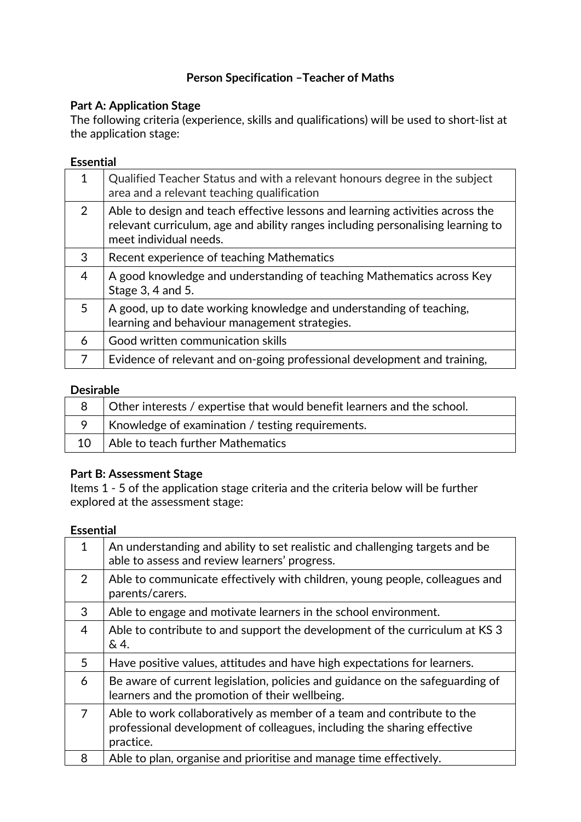# **Person Specification –Teacher of Maths**

## **Part A: Application Stage**

The following criteria (experience, skills and qualifications) will be used to short‐list at the application stage:

### **Essential**

| 1              | Qualified Teacher Status and with a relevant honours degree in the subject<br>area and a relevant teaching qualification                                                                   |
|----------------|--------------------------------------------------------------------------------------------------------------------------------------------------------------------------------------------|
| $\overline{2}$ | Able to design and teach effective lessons and learning activities across the<br>relevant curriculum, age and ability ranges including personalising learning to<br>meet individual needs. |
| 3              | Recent experience of teaching Mathematics                                                                                                                                                  |
| $\overline{4}$ | A good knowledge and understanding of teaching Mathematics across Key<br>Stage 3, 4 and 5.                                                                                                 |
| 5              | A good, up to date working knowledge and understanding of teaching,<br>learning and behaviour management strategies.                                                                       |
| 6              | Good written communication skills                                                                                                                                                          |
| 7              | Evidence of relevant and on-going professional development and training,                                                                                                                   |

#### **Desirable**

|    | Other interests / expertise that would benefit learners and the school. |
|----|-------------------------------------------------------------------------|
|    | Knowledge of examination / testing requirements.                        |
| 10 | Able to teach further Mathematics                                       |

## **Part B: Assessment Stage**

Items 1 ‐ 5 of the application stage criteria and the criteria below will be further explored at the assessment stage:

# **Essential**

| $\mathbf 1$    | An understanding and ability to set realistic and challenging targets and be<br>able to assess and review learners' progress.                                  |
|----------------|----------------------------------------------------------------------------------------------------------------------------------------------------------------|
| 2              | Able to communicate effectively with children, young people, colleagues and<br>parents/carers.                                                                 |
| 3              | Able to engage and motivate learners in the school environment.                                                                                                |
| $\overline{4}$ | Able to contribute to and support the development of the curriculum at KS 3<br>&4.                                                                             |
| 5              | Have positive values, attitudes and have high expectations for learners.                                                                                       |
| 6              | Be aware of current legislation, policies and guidance on the safeguarding of<br>learners and the promotion of their wellbeing.                                |
| 7              | Able to work collaboratively as member of a team and contribute to the<br>professional development of colleagues, including the sharing effective<br>practice. |
| 8              | Able to plan, organise and prioritise and manage time effectively.                                                                                             |